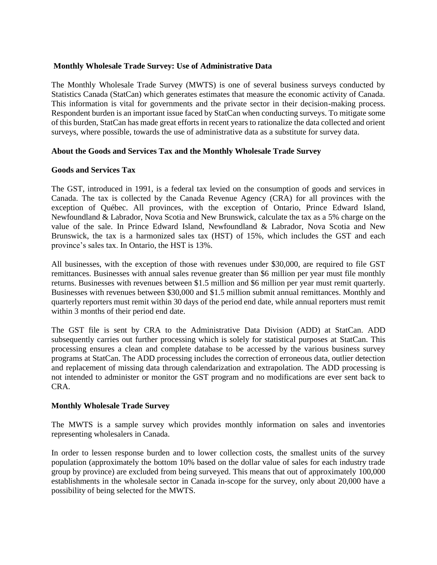## **Monthly Wholesale Trade Survey: Use of Administrative Data**

The Monthly Wholesale Trade Survey (MWTS) is one of several business surveys conducted by Statistics Canada (StatCan) which generates estimates that measure the economic activity of Canada. This information is vital for governments and the private sector in their decision-making process. Respondent burden is an important issue faced by StatCan when conducting surveys. To mitigate some of this burden, StatCan has made great efforts in recent years to rationalize the data collected and orient surveys, where possible, towards the use of administrative data as a substitute for survey data.

# **About the Goods and Services Tax and the Monthly Wholesale Trade Survey**

#### **Goods and Services Tax**

The GST, introduced in 1991, is a federal tax levied on the consumption of goods and services in Canada. The tax is collected by the Canada Revenue Agency (CRA) for all provinces with the exception of Québec. All provinces, with the exception of Ontario, Prince Edward Island, Newfoundland & Labrador, Nova Scotia and New Brunswick, calculate the tax as a 5% charge on the value of the sale. In Prince Edward Island, Newfoundland & Labrador, Nova Scotia and New Brunswick, the tax is a harmonized sales tax (HST) of 15%, which includes the GST and each province's sales tax. In Ontario, the HST is 13%.

All businesses, with the exception of those with revenues under \$30,000, are required to file GST remittances. Businesses with annual sales revenue greater than \$6 million per year must file monthly returns. Businesses with revenues between \$1.5 million and \$6 million per year must remit quarterly. Businesses with revenues between \$30,000 and \$1.5 million submit annual remittances. Monthly and quarterly reporters must remit within 30 days of the period end date, while annual reporters must remit within 3 months of their period end date.

The GST file is sent by CRA to the Administrative Data Division (ADD) at StatCan. ADD subsequently carries out further processing which is solely for statistical purposes at StatCan. This processing ensures a clean and complete database to be accessed by the various business survey programs at StatCan. The ADD processing includes the correction of erroneous data, outlier detection and replacement of missing data through calendarization and extrapolation. The ADD processing is not intended to administer or monitor the GST program and no modifications are ever sent back to CRA.

#### **Monthly Wholesale Trade Survey**

The MWTS is a sample survey which provides monthly information on sales and inventories representing wholesalers in Canada.

In order to lessen response burden and to lower collection costs, the smallest units of the survey population (approximately the bottom 10% based on the dollar value of sales for each industry trade group by province) are excluded from being surveyed. This means that out of approximately 100,000 establishments in the wholesale sector in Canada in-scope for the survey, only about 20,000 have a possibility of being selected for the MWTS.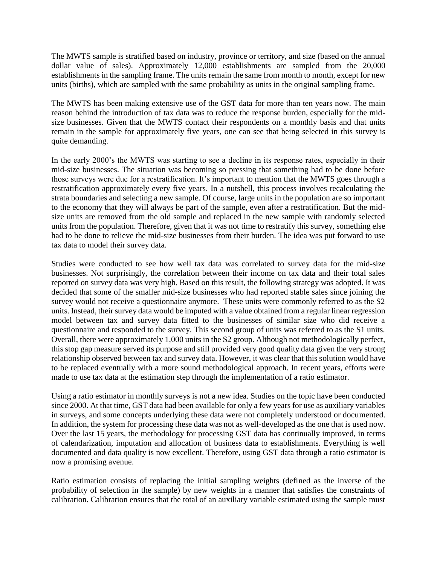The MWTS sample is stratified based on industry, province or territory, and size (based on the annual dollar value of sales). Approximately 12,000 establishments are sampled from the 20,000 establishments in the sampling frame. The units remain the same from month to month, except for new units (births), which are sampled with the same probability as units in the original sampling frame.

The MWTS has been making extensive use of the GST data for more than ten years now. The main reason behind the introduction of tax data was to reduce the response burden, especially for the midsize businesses. Given that the MWTS contact their respondents on a monthly basis and that units remain in the sample for approximately five years, one can see that being selected in this survey is quite demanding.

In the early 2000's the MWTS was starting to see a decline in its response rates, especially in their mid-size businesses. The situation was becoming so pressing that something had to be done before those surveys were due for a restratification. It's important to mention that the MWTS goes through a restratification approximately every five years. In a nutshell, this process involves recalculating the strata boundaries and selecting a new sample. Of course, large units in the population are so important to the economy that they will always be part of the sample, even after a restratification. But the midsize units are removed from the old sample and replaced in the new sample with randomly selected units from the population. Therefore, given that it was not time to restratify this survey, something else had to be done to relieve the mid-size businesses from their burden. The idea was put forward to use tax data to model their survey data.

Studies were conducted to see how well tax data was correlated to survey data for the mid-size businesses. Not surprisingly, the correlation between their income on tax data and their total sales reported on survey data was very high. Based on this result, the following strategy was adopted. It was decided that some of the smaller mid-size businesses who had reported stable sales since joining the survey would not receive a questionnaire anymore. These units were commonly referred to as the S2 units. Instead, their survey data would be imputed with a value obtained from a regular linear regression model between tax and survey data fitted to the businesses of similar size who did receive a questionnaire and responded to the survey. This second group of units was referred to as the S1 units. Overall, there were approximately 1,000 units in the S2 group. Although not methodologically perfect, this stop gap measure served its purpose and still provided very good quality data given the very strong relationship observed between tax and survey data. However, it was clear that this solution would have to be replaced eventually with a more sound methodological approach. In recent years, efforts were made to use tax data at the estimation step through the implementation of a ratio estimator.

Using a ratio estimator in monthly surveys is not a new idea. Studies on the topic have been conducted since 2000. At that time, GST data had been available for only a few years for use as auxiliary variables in surveys, and some concepts underlying these data were not completely understood or documented. In addition, the system for processing these data was not as well-developed as the one that is used now. Over the last 15 years, the methodology for processing GST data has continually improved, in terms of calendarization, imputation and allocation of business data to establishments. Everything is well documented and data quality is now excellent. Therefore, using GST data through a ratio estimator is now a promising avenue.

Ratio estimation consists of replacing the initial sampling weights (defined as the inverse of the probability of selection in the sample) by new weights in a manner that satisfies the constraints of calibration. Calibration ensures that the total of an auxiliary variable estimated using the sample must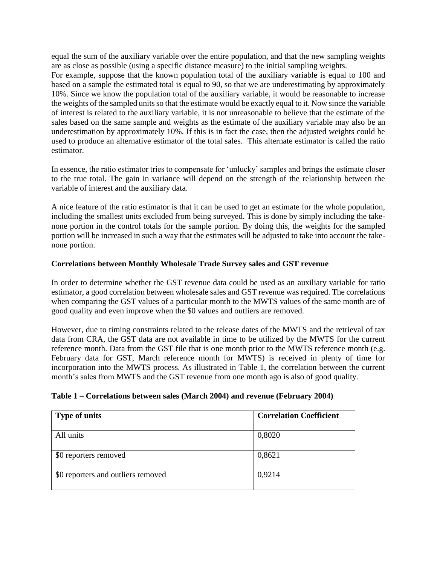equal the sum of the auxiliary variable over the entire population, and that the new sampling weights are as close as possible (using a specific distance measure) to the initial sampling weights.

For example, suppose that the known population total of the auxiliary variable is equal to 100 and based on a sample the estimated total is equal to 90, so that we are underestimating by approximately 10%. Since we know the population total of the auxiliary variable, it would be reasonable to increase the weights of the sampled units so that the estimate would be exactly equal to it. Now since the variable of interest is related to the auxiliary variable, it is not unreasonable to believe that the estimate of the sales based on the same sample and weights as the estimate of the auxiliary variable may also be an underestimation by approximately 10%. If this is in fact the case, then the adjusted weights could be used to produce an alternative estimator of the total sales. This alternate estimator is called the ratio estimator.

In essence, the ratio estimator tries to compensate for 'unlucky' samples and brings the estimate closer to the true total. The gain in variance will depend on the strength of the relationship between the variable of interest and the auxiliary data.

A nice feature of the ratio estimator is that it can be used to get an estimate for the whole population, including the smallest units excluded from being surveyed. This is done by simply including the takenone portion in the control totals for the sample portion. By doing this, the weights for the sampled portion will be increased in such a way that the estimates will be adjusted to take into account the takenone portion.

## **Correlations between Monthly Wholesale Trade Survey sales and GST revenue**

In order to determine whether the GST revenue data could be used as an auxiliary variable for ratio estimator, a good correlation between wholesale sales and GST revenue was required. The correlations when comparing the GST values of a particular month to the MWTS values of the same month are of good quality and even improve when the \$0 values and outliers are removed.

However, due to timing constraints related to the release dates of the MWTS and the retrieval of tax data from CRA, the GST data are not available in time to be utilized by the MWTS for the current reference month. Data from the GST file that is one month prior to the MWTS reference month (e.g. February data for GST, March reference month for MWTS) is received in plenty of time for incorporation into the MWTS process. As illustrated in Table 1, the correlation between the current month's sales from MWTS and the GST revenue from one month ago is also of good quality.

| Table 1 – Correlations between sales (March 2004) and revenue (February 2004) |  |  |  |  |  |
|-------------------------------------------------------------------------------|--|--|--|--|--|
|-------------------------------------------------------------------------------|--|--|--|--|--|

| <b>Type of units</b>               | <b>Correlation Coefficient</b> |
|------------------------------------|--------------------------------|
| All units                          | 0,8020                         |
| \$0 reporters removed              | 0,8621                         |
| \$0 reporters and outliers removed | 0,9214                         |